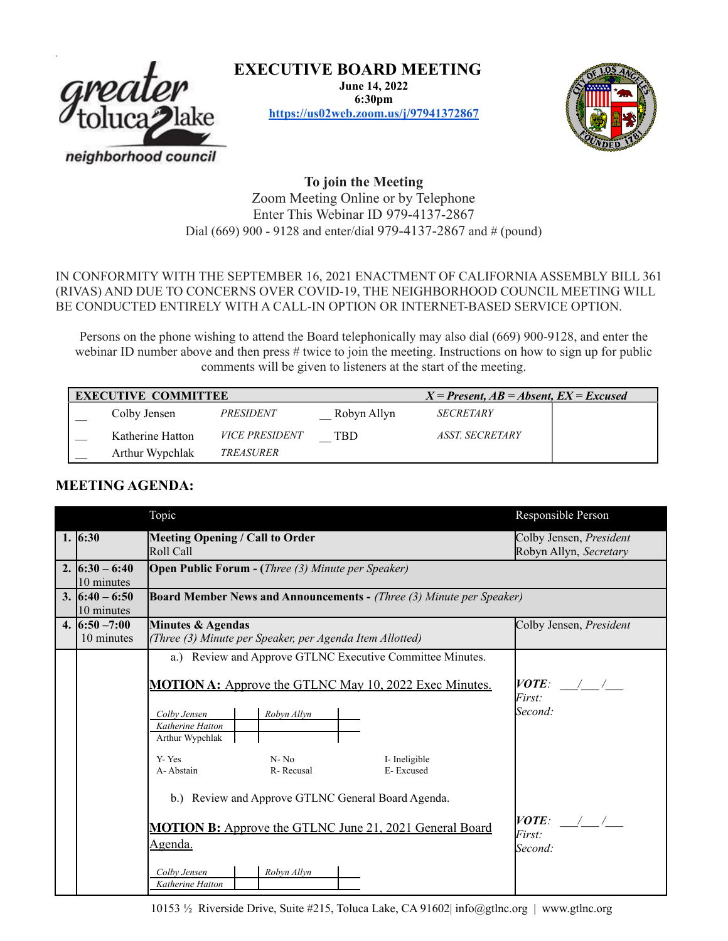

**EXECUTIVE BOARD MEETING**

**June 14, 2022 6:30pm <https://us02web.zoom.us/j/97941372867>**



**To join the Meeting** Zoom Meeting Online or by Telephone Enter This Webinar ID 979-4137-2867 Dial (669) 900 - 9128 and enter/dial 979-4137-2867 and # (pound)

IN CONFORMITY WITH THE SEPTEMBER 16, 2021 ENACTMENT OF CALIFORNIA ASSEMBLY BILL 361 (RIVAS) AND DUE TO CONCERNS OVER COVID-19, THE NEIGHBORHOOD COUNCIL MEETING WILL BE CONDUCTED ENTIRELY WITH A CALL-IN OPTION OR INTERNET-BASED SERVICE OPTION.

Persons on the phone wishing to attend the Board telephonically may also dial (669) 900-9128, and enter the webinar ID number above and then press # twice to join the meeting. Instructions on how to sign up for public comments will be given to listeners at the start of the meeting.

| <b>EXECUTIVE COMMITTEE</b> |                  |                       |             | $X = Present, AB = Absent, EX = Excused$ |  |
|----------------------------|------------------|-----------------------|-------------|------------------------------------------|--|
|                            | Colby Jensen     | <i>PRESIDENT</i>      | Robyn Allyn | <b>SECRETARY</b>                         |  |
|                            | Katherine Hatton | <b>VICE PRESIDENT</b> | TBD         | <i><b>ASST. SECRETARY</b></i>            |  |
|                            | Arthur Wypchlak  | TREASURER             |             |                                          |  |

## **MEETING AGENDA:**

|                                | Topic                                                                            | Responsible Person                                |  |  |  |  |
|--------------------------------|----------------------------------------------------------------------------------|---------------------------------------------------|--|--|--|--|
| 1. $6:30$                      | <b>Meeting Opening / Call to Order</b><br>Roll Call                              | Colby Jensen, President<br>Robyn Allyn, Secretary |  |  |  |  |
| 2. $6:30 - 6:40$               | <b>Open Public Forum - (Three (3) Minute per Speaker)</b>                        |                                                   |  |  |  |  |
| 10 minutes<br>3. $6:40 - 6:50$ | <b>Board Member News and Announcements - (Three (3) Minute per Speaker)</b>      |                                                   |  |  |  |  |
| 10 minutes                     |                                                                                  |                                                   |  |  |  |  |
| 4. $6:50 - 7:00$<br>10 minutes | Minutes & Agendas<br>(Three (3) Minute per Speaker, per Agenda Item Allotted)    | Colby Jensen, President                           |  |  |  |  |
|                                | a.) Review and Approve GTLNC Executive Committee Minutes.                        |                                                   |  |  |  |  |
|                                | <b>MOTION A:</b> Approve the GTLNC May 10, 2022 Exec Minutes.                    | $VOTE:$ / /<br>First:<br>Second:                  |  |  |  |  |
|                                | Robyn Allyn<br>Colby Jensen<br>Katherine Hatton<br>Arthur Wypchlak               |                                                   |  |  |  |  |
|                                | $N - No$<br>Y-Yes<br>I-Ineligible<br>E-Excused<br>A-Abstain<br>R-Recusal         |                                                   |  |  |  |  |
|                                | b.) Review and Approve GTLNC General Board Agenda.                               |                                                   |  |  |  |  |
|                                | <b>MOTION B:</b> Approve the GTLNC June 21, 2021 General Board<br><u>Agenda.</u> | $VOTE:$ / /<br>First:<br>Second:                  |  |  |  |  |
|                                | Robyn Allyn<br>Colby Jensen<br>Katherine Hatton                                  |                                                   |  |  |  |  |

10153 ½ Riverside Drive, Suite #215, Toluca Lake, CA 91602| info@gtlnc.org | www.gtlnc.org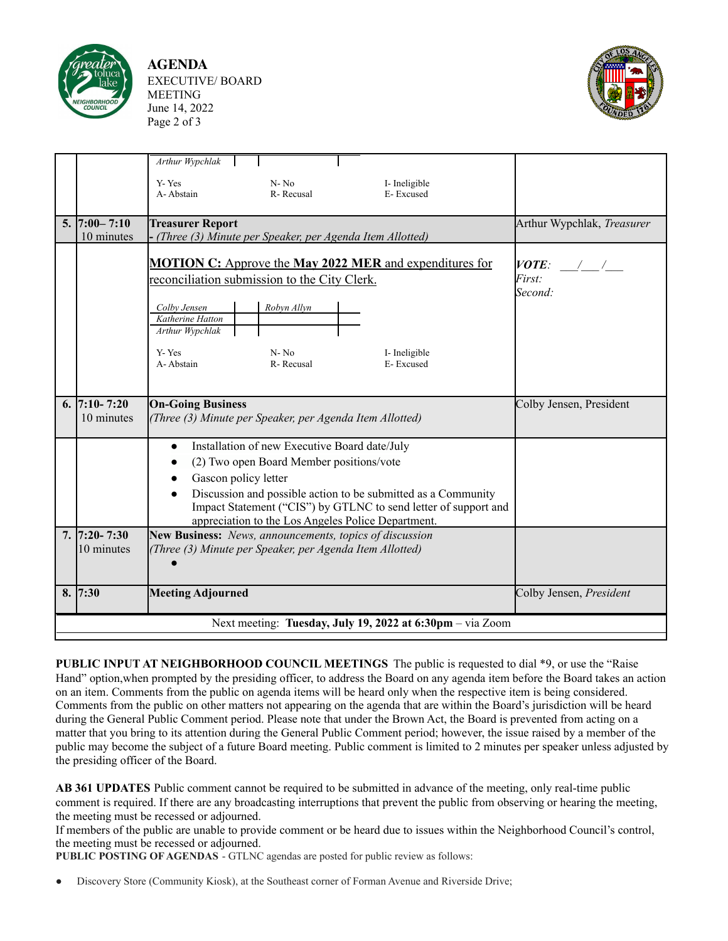

**AGENDA** EXECUTIVE/ BOARD MEETING June 14, 2022 Page 2 of 3



|    |                                                           | Arthur Wypchlak<br>Y-Yes<br>$N - No$<br>I- Ineligible                                                                                                                                                                                                                                                                    |                                  |  |  |  |  |  |
|----|-----------------------------------------------------------|--------------------------------------------------------------------------------------------------------------------------------------------------------------------------------------------------------------------------------------------------------------------------------------------------------------------------|----------------------------------|--|--|--|--|--|
|    |                                                           | A-Abstain<br>E-Excused<br>R-Recusal                                                                                                                                                                                                                                                                                      |                                  |  |  |  |  |  |
|    | $5.  7:00 - 7:10$<br>10 minutes                           | <b>Treasurer Report</b><br>- (Three (3) Minute per Speaker, per Agenda Item Allotted)                                                                                                                                                                                                                                    | Arthur Wypchlak, Treasurer       |  |  |  |  |  |
|    |                                                           | <b>MOTION C:</b> Approve the <b>May 2022 MER</b> and expenditures for<br>reconciliation submission to the City Clerk.                                                                                                                                                                                                    | $VOTE:$ / /<br>First:<br>Second: |  |  |  |  |  |
|    |                                                           | Robyn Allyn<br>Colby Jensen<br>Katherine Hatton<br>Arthur Wypchlak                                                                                                                                                                                                                                                       |                                  |  |  |  |  |  |
|    |                                                           | Y-Yes<br>$N - No$<br>I- Ineligible<br>A-Abstain<br>R-Recusal<br>E-Excused                                                                                                                                                                                                                                                |                                  |  |  |  |  |  |
|    | 6. $7:10 - 7:20$<br>10 minutes                            | <b>On-Going Business</b><br>(Three (3) Minute per Speaker, per Agenda Item Allotted)                                                                                                                                                                                                                                     | Colby Jensen, President          |  |  |  |  |  |
|    |                                                           | Installation of new Executive Board date/July<br>$\bullet$<br>(2) Two open Board Member positions/vote<br>Gascon policy letter<br>Discussion and possible action to be submitted as a Community<br>Impact Statement ("CIS") by GTLNC to send letter of support and<br>appreciation to the Los Angeles Police Department. |                                  |  |  |  |  |  |
|    | $7.17:20 - 7:30$<br>10 minutes                            | New Business: News, announcements, topics of discussion<br>(Three (3) Minute per Speaker, per Agenda Item Allotted)                                                                                                                                                                                                      |                                  |  |  |  |  |  |
| 8. | 7:30                                                      | <b>Meeting Adjourned</b>                                                                                                                                                                                                                                                                                                 | Colby Jensen, President          |  |  |  |  |  |
|    | Next meeting: Tuesday, July 19, 2022 at 6:30pm – via Zoom |                                                                                                                                                                                                                                                                                                                          |                                  |  |  |  |  |  |

**PUBLIC INPUT AT NEIGHBORHOOD COUNCIL MEETINGS** The public is requested to dial \*9, or use the "Raise Hand" option,when prompted by the presiding officer, to address the Board on any agenda item before the Board takes an action on an item. Comments from the public on agenda items will be heard only when the respective item is being considered. Comments from the public on other matters not appearing on the agenda that are within the Board's jurisdiction will be heard during the General Public Comment period. Please note that under the Brown Act, the Board is prevented from acting on a matter that you bring to its attention during the General Public Comment period; however, the issue raised by a member of the public may become the subject of a future Board meeting. Public comment is limited to 2 minutes per speaker unless adjusted by the presiding officer of the Board.

**AB 361 UPDATES** Public comment cannot be required to be submitted in advance of the meeting, only real-time public comment is required. If there are any broadcasting interruptions that prevent the public from observing or hearing the meeting, the meeting must be recessed or adjourned.

If members of the public are unable to provide comment or be heard due to issues within the Neighborhood Council's control, the meeting must be recessed or adjourned.

**PUBLIC POSTING OF AGENDAS** - GTLNC agendas are posted for public review as follows:

Discovery Store (Community Kiosk), at the Southeast corner of Forman Avenue and Riverside Drive;